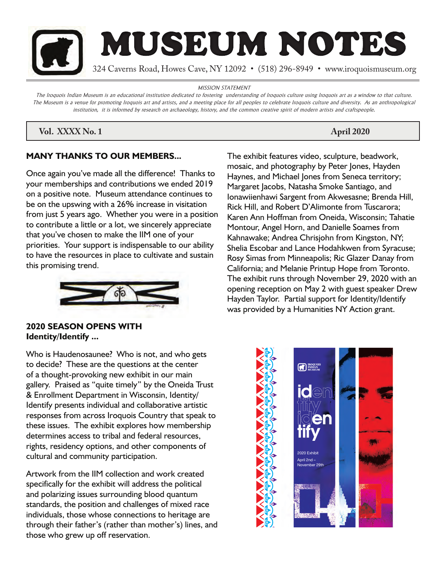

MISSION STATEMENT

The Iroquois Indian Museum is an educational institution dedicated to fostering understanding of Iroquois culture using Iroquois art as a window to that culture. The Museum is a venue for promoting Iroquois art and artists, and a meeting place for all peoples to celebrate Iroquois culture and diversity. As an anthropological institution, it is informed by research on archaeology, history, and the common creative spirit of modern artists and craftspeople.

# **Vol. XXXX No. 1** April 2020

# **MANY THANKS TO OUR MEMBERS...**

Once again you've made all the difference! Thanks to your memberships and contributions we ended 2019 on a positive note. Museum attendance continues to be on the upswing with a 26% increase in visitation from just 5 years ago. Whether you were in a position to contribute a little or a lot, we sincerely appreciate that you've chosen to make the IIM one of your priorities. Your support is indispensable to our ability to have the resources in place to cultivate and sustain this promising trend.



# **2020 SEASON OPENS WITH Identity/Identify ...**

Who is Haudenosaunee? Who is not, and who gets to decide? These are the questions at the center of a thought-provoking new exhibit in our main gallery. Praised as "quite timely" by the Oneida Trust & Enrollment Department in Wisconsin, Identity/ Identify presents individual and collaborative artistic responses from across Iroquois Country that speak to these issues. The exhibit explores how membership determines access to tribal and federal resources, rights, residency options, and other components of cultural and community participation.

Artwork from the IIM collection and work created specifically for the exhibit will address the political and polarizing issues surrounding blood quantum standards, the position and challenges of mixed race individuals, those whose connections to heritage are through their father's (rather than mother's) lines, and those who grew up off reservation.

The exhibit features video, sculpture, beadwork, mosaic, and photography by Peter Jones, Hayden Haynes, and Michael Jones from Seneca territory; Margaret Jacobs, Natasha Smoke Santiago, and Ionawiienhawi Sargent from Akwesasne; Brenda Hill, Rick Hill, and Robert D'Alimonte from Tuscarora; Karen Ann Hoffman from Oneida, Wisconsin; Tahatie Montour, Angel Horn, and Danielle Soames from Kahnawake; Andrea Chrisjohn from Kingston, NY; Shelia Escobar and Lance Hodahkwen from Syracuse; Rosy Simas from Minneapolis; Ric Glazer Danay from California; and Melanie Printup Hope from Toronto. The exhibit runs through November 29, 2020 with an opening reception on May 2 with guest speaker Drew Hayden Taylor. Partial support for Identity/Identify was provided by a Humanities NY Action grant.

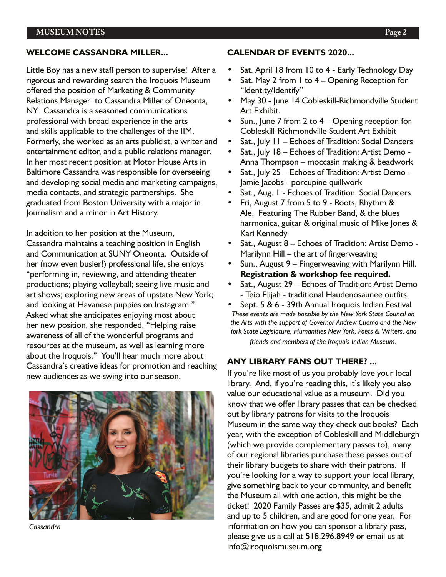#### **WELCOME CASSANDRA MILLER...**

Little Boy has a new staff person to supervise! After a rigorous and rewarding search the Iroquois Museum offered the position of Marketing & Community Relations Manager to Cassandra Miller of Oneonta, NY. Cassandra is a seasoned communications professional with broad experience in the arts and skills applicable to the challenges of the IIM. Formerly, she worked as an arts publicist, a writer and entertainment editor, and a public relations manager. In her most recent position at Motor House Arts in Baltimore Cassandra was responsible for overseeing and developing social media and marketing campaigns, media contacts, and strategic partnerships. She graduated from Boston University with a major in Journalism and a minor in Art History.

In addition to her position at the Museum, Cassandra maintains a teaching position in English and Communication at SUNY Oneonta. Outside of her (now even busier!) professional life, she enjoys "performing in, reviewing, and attending theater productions; playing volleyball; seeing live music and art shows; exploring new areas of upstate New York; and looking at Havanese puppies on Instagram." Asked what she anticipates enjoying most about her new position, she responded, "Helping raise awareness of all of the wonderful programs and resources at the museum, as well as learning more about the Iroquois." You'll hear much more about Cassandra's creative ideas for promotion and reaching new audiences as we swing into our season.



*Cassandra*

#### **CALENDAR OF EVENTS 2020...**

- Sat. April 18 from 10 to 4 Early Technology Day
- Sat. May 2 from 1 to 4 Opening Reception for "Identity/Identify"
- May 30 June 14 Cobleskill-Richmondville Student Art Exhibit.
- Sun., June 7 from 2 to  $4 -$  Opening reception for Cobleskill-Richmondville Student Art Exhibit
- Sat., July 11 Echoes of Tradition: Social Dancers
- Sat., July 18 Echoes of Tradition: Artist Demo Anna Thompson – moccasin making & beadwork
- Sat., July 25 Echoes of Tradition: Artist Demo Jamie Jacobs - porcupine quillwork
- Sat., Aug. 1 Echoes of Tradition: Social Dancers
- Fri, August 7 from 5 to 9 Roots, Rhythm & Ale. Featuring The Rubber Band, & the blues harmonica, guitar & original music of Mike Jones & Kari Kennedy
- Sat., August 8 Echoes of Tradition: Artist Demo Marilynn Hill – the art of fingerweaving
- Sun., August 9 Fingerweaving with Marilynn Hill. **Registration & workshop fee required.**
- Sat., August 29 Echoes of Tradition: Artist Demo - Teio Elijah - traditional Haudenosaunee outfits.
- Sept. 5 & 6 39th Annual Iroquois Indian Festival *These events are made possible by the New York State Council on the Arts with the support of Governor Andrew Cuomo and the New York State Legislature, Humanities New York, Poets & Writers, and friends and members of the Iroquois Indian Museum.*

### **ANY LIBRARY FANS OUT THERE? ...**

If you're like most of us you probably love your local library. And, if you're reading this, it's likely you also value our educational value as a museum. Did you know that we offer library passes that can be checked out by library patrons for visits to the Iroquois Museum in the same way they check out books? Each year, with the exception of Cobleskill and Middleburgh (which we provide complementary passes to), many of our regional libraries purchase these passes out of their library budgets to share with their patrons. If you're looking for a way to support your local library, give something back to your community, and benefit the Museum all with one action, this might be the ticket! 2020 Family Passes are \$35, admit 2 adults and up to 5 children, and are good for one year. For information on how you can sponsor a library pass, please give us a call at 518.296.8949 or email us at info@iroquoismuseum.org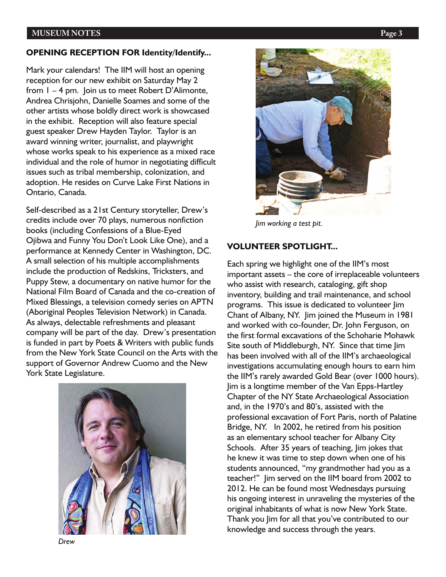#### **MUSEUM NOTES** Page 3

#### **OPENING RECEPTION FOR Identity/Identify...**

Mark your calendars! The IIM will host an opening reception for our new exhibit on Saturday May 2 from 1 – 4 pm. Join us to meet Robert D'Alimonte, Andrea Chrisjohn, Danielle Soames and some of the other artists whose boldly direct work is showcased in the exhibit. Reception will also feature special guest speaker Drew Hayden Taylor. Taylor is an award winning writer, journalist, and playwright whose works speak to his experience as a mixed race individual and the role of humor in negotiating difficult issues such as tribal membership, colonization, and adoption. He resides on Curve Lake First Nations in Ontario, Canada.

Self-described as a 21st Century storyteller, Drew's credits include over 70 plays, numerous nonfiction books (including Confessions of a Blue-Eyed Ojibwa and Funny You Don't Look Like One), and a performance at Kennedy Center in Washington, DC. A small selection of his multiple accomplishments include the production of Redskins, Tricksters, and Puppy Stew, a documentary on native humor for the National Film Board of Canada and the co-creation of Mixed Blessings, a television comedy series on APTN (Aboriginal Peoples Television Network) in Canada. As always, delectable refreshments and pleasant company will be part of the day. Drew's presentation is funded in part by Poets & Writers with public funds from the New York State Council on the Arts with the support of Governor Andrew Cuomo and the New York State Legislature.







*Jim working a test pit.*

#### **VOLUNTEER SPOTLIGHT...**

Each spring we highlight one of the IIM's most important assets – the core of irreplaceable volunteers who assist with research, cataloging, gift shop inventory, building and trail maintenance, and school programs. This issue is dedicated to volunteer Jim Chant of Albany, NY. Jim joined the Museum in 1981 and worked with co-founder, Dr. John Ferguson, on the first formal excavations of the Schoharie Mohawk Site south of Middleburgh, NY. Since that time Jim has been involved with all of the IIM's archaeological investigations accumulating enough hours to earn him the IIM's rarely awarded Gold Bear (over 1000 hours). Jim is a longtime member of the Van Epps-Hartley Chapter of the NY State Archaeological Association and, in the 1970's and 80's, assisted with the professional excavation of Fort Paris, north of Palatine Bridge, NY. In 2002, he retired from his position as an elementary school teacher for Albany City Schools. After 35 years of teaching, lim jokes that he knew it was time to step down when one of his students announced, "my grandmother had you as a teacher!" Jim served on the IIM board from 2002 to 2012. He can be found most Wednesdays pursuing his ongoing interest in unraveling the mysteries of the original inhabitants of what is now New York State. Thank you Jim for all that you've contributed to our knowledge and success through the years.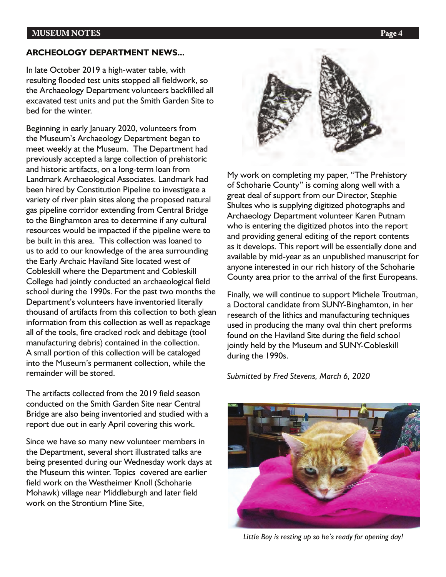### **ARCHEOLOGY DEPARTMENT NEWS...**

In late October 2019 a high-water table, with resulting flooded test units stopped all fieldwork, so the Archaeology Department volunteers backfilled all excavated test units and put the Smith Garden Site to bed for the winter.

Beginning in early January 2020, volunteers from the Museum's Archaeology Department began to meet weekly at the Museum. The Department had previously accepted a large collection of prehistoric and historic artifacts, on a long-term loan from Landmark Archaeological Associates. Landmark had been hired by Constitution Pipeline to investigate a variety of river plain sites along the proposed natural gas pipeline corridor extending from Central Bridge to the Binghamton area to determine if any cultural resources would be impacted if the pipeline were to be built in this area. This collection was loaned to us to add to our knowledge of the area surrounding the Early Archaic Haviland Site located west of Cobleskill where the Department and Cobleskill College had jointly conducted an archaeological field school during the 1990s. For the past two months the Department's volunteers have inventoried literally thousand of artifacts from this collection to both glean information from this collection as well as repackage all of the tools, fire cracked rock and debitage (tool manufacturing debris) contained in the collection. A small portion of this collection will be cataloged into the Museum's permanent collection, while the remainder will be stored.

The artifacts collected from the 2019 field season conducted on the Smith Garden Site near Central Bridge are also being inventoried and studied with a report due out in early April covering this work.

Since we have so many new volunteer members in the Department, several short illustrated talks are being presented during our Wednesday work days at the Museum this winter. Topics covered are earlier field work on the Westheimer Knoll (Schoharie Mohawk) village near Middleburgh and later field work on the Strontium Mine Site,



My work on completing my paper, "The Prehistory of Schoharie County" is coming along well with a great deal of support from our Director, Stephie Shultes who is supplying digitized photographs and Archaeology Department volunteer Karen Putnam who is entering the digitized photos into the report and providing general editing of the report contents as it develops. This report will be essentially done and available by mid-year as an unpublished manuscript for anyone interested in our rich history of the Schoharie County area prior to the arrival of the first Europeans.

Finally, we will continue to support Michele Troutman, a Doctoral candidate from SUNY-Binghamton, in her research of the lithics and manufacturing techniques used in producing the many oval thin chert preforms found on the Haviland Site during the field school jointly held by the Museum and SUNY-Cobleskill during the 1990s.

*Submitted by Fred Stevens, March 6, 2020*



*Little Boy is resting up so he's ready for opening day!*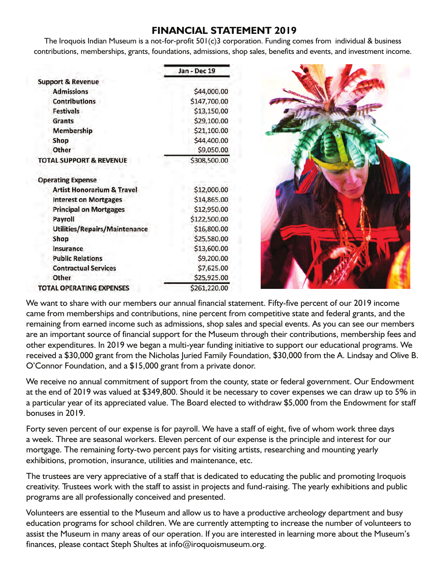# **FINANCIAL STATEMENT 2019**

The Iroquois Indian Museum is a not-for-profit 501(c)3 corporation. Funding comes from individual & business contributions, memberships, grants, foundations, admissions, shop sales, benefits and events, and investment income.

|                                       | Jan - Dec 19 |  |
|---------------------------------------|--------------|--|
| <b>Support &amp; Revenue</b>          |              |  |
| <b>Admissions</b>                     | \$44,000.00  |  |
| <b>Contributions</b>                  | \$147,700.00 |  |
| <b>Festivals</b>                      | \$13,150.00  |  |
| <b>Grants</b>                         | \$29,100.00  |  |
| <b>Membership</b>                     | \$21,100.00  |  |
| Shop                                  | \$44,400.00  |  |
| Other                                 | \$9,050.00   |  |
| <b>TOTAL SUPPORT &amp; REVENUE</b>    | \$308,500.00 |  |
| <b>Operating Expense</b>              |              |  |
| <b>Artist Honorarium &amp; Travel</b> | \$12,000.00  |  |
| <b>Interest on Mortgages</b>          | \$14,865.00  |  |
| <b>Principal on Mortgages</b>         | \$12,950.00  |  |
| Payroll                               | \$122,500.00 |  |
| Utilities/Repairs/Maintenance         | \$16,800.00  |  |
| Shop                                  | \$25,580.00  |  |
| Insurance                             | \$13,600.00  |  |
| <b>Public Relations</b>               | \$9,200.00   |  |
| <b>Contractual Services</b>           | \$7,625.00   |  |
| Other                                 | \$25,925.00  |  |
| <b>TOTAL OPERATING EXPENSES</b>       | \$261,220.00 |  |

We want to share with our members our annual financial statement. Fifty-five percent of our 2019 income came from memberships and contributions, nine percent from competitive state and federal grants, and the remaining from earned income such as admissions, shop sales and special events. As you can see our members are an important source of financial support for the Museum through their contributions, membership fees and other expenditures. In 2019 we began a multi-year funding initiative to support our educational programs. We received a \$30,000 grant from the Nicholas Juried Family Foundation, \$30,000 from the A. Lindsay and Olive B. O'Connor Foundation, and a \$15,000 grant from a private donor.

We receive no annual commitment of support from the county, state or federal government. Our Endowment at the end of 2019 was valued at \$349,800. Should it be necessary to cover expenses we can draw up to 5% in a particular year of its appreciated value. The Board elected to withdraw \$5,000 from the Endowment for staff bonuses in 2019.

Forty seven percent of our expense is for payroll. We have a staff of eight, five of whom work three days a week. Three are seasonal workers. Eleven percent of our expense is the principle and interest for our mortgage. The remaining forty-two percent pays for visiting artists, researching and mounting yearly exhibitions, promotion, insurance, utilities and maintenance, etc.

The trustees are very appreciative of a staff that is dedicated to educating the public and promoting Iroquois creativity. Trustees work with the staff to assist in projects and fund-raising. The yearly exhibitions and public programs are all professionally conceived and presented.

Volunteers are essential to the Museum and allow us to have a productive archeology department and busy education programs for school children. We are currently attempting to increase the number of volunteers to assist the Museum in many areas of our operation. If you are interested in learning more about the Museum's finances, please contact Steph Shultes at info@iroquoismuseum.org.